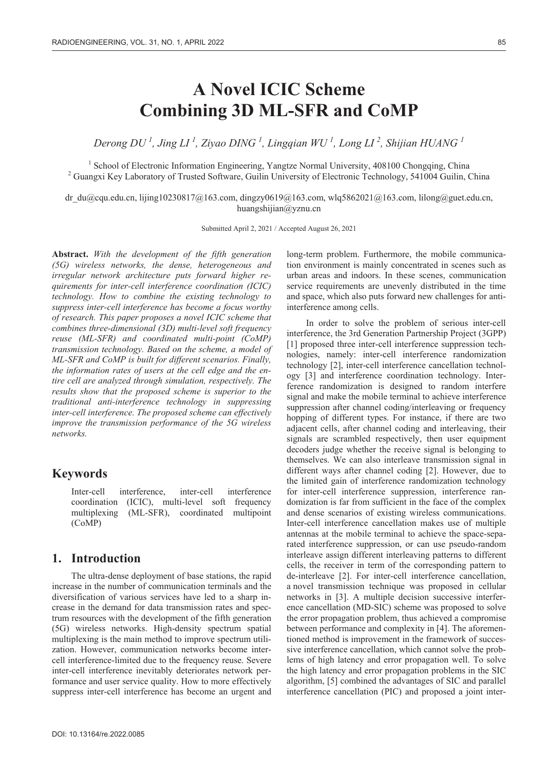# **A Novel ICIC Scheme Combining 3D ML-SFR and CoMP**

*Derong DU <sup>1</sup> , Jing LI 1 , Ziyao DING 1 , Lingqian WU <sup>1</sup> , Long LI 2 , Shijian HUANG 1*

<sup>1</sup> School of Electronic Information Engineering, Yangtze Normal University, 408100 Chongqing, China <sup>2</sup> Guangui Kay Laberstony of Trusted Software, Guilin University of Electronic Technology, 541004 Guilin C <sup>2</sup> Guangxi Key Laboratory of Trusted Software, Guilin University of Electronic Technology, 541004 Guilin, China

dr\_du@cqu.edu.cn, lijing10230817@163.com, dingzy0619@163.com, wlq5862021@163.com, lilong@guet.edu.cn, huangshijian@yznu.cn

Submitted April 2, 2021 / Accepted August 26, 2021

**Abstract.** *With the development of the fifth generation (5G) wireless networks, the dense, heterogeneous and irregular network architecture puts forward higher requirements for inter-cell interference coordination (ICIC) technology. How to combine the existing technology to suppress inter-cell interference has become a focus worthy of research. This paper proposes a novel ICIC scheme that combines three-dimensional (3D) multi-level soft frequency reuse (ML-SFR) and coordinated multi-point (CoMP) transmission technology. Based on the scheme, a model of ML-SFR and CoMP is built for different scenarios. Finally, the information rates of users at the cell edge and the entire cell are analyzed through simulation, respectively. The results show that the proposed scheme is superior to the traditional anti-interference technology in suppressing inter-cell interference. The proposed scheme can effectively improve the transmission performance of the 5G wireless networks.* 

## **Keywords**

Inter-cell interference inter-cell interference coordination (ICIC), multi-level soft frequency multiplexing (ML-SFR), coordinated multipoint (CoMP)

# **1. Introduction**

The ultra-dense deployment of base stations, the rapid increase in the number of communication terminals and the diversification of various services have led to a sharp increase in the demand for data transmission rates and spectrum resources with the development of the fifth generation (5G) wireless networks. High-density spectrum spatial multiplexing is the main method to improve spectrum utilization. However, communication networks become intercell interference-limited due to the frequency reuse. Severe inter-cell interference inevitably deteriorates network performance and user service quality. How to more effectively suppress inter-cell interference has become an urgent and

long-term problem. Furthermore, the mobile communication environment is mainly concentrated in scenes such as urban areas and indoors. In these scenes, communication service requirements are unevenly distributed in the time and space, which also puts forward new challenges for antiinterference among cells.

In order to solve the problem of serious inter-cell interference, the 3rd Generation Partnership Project (3GPP) [1] proposed three inter-cell interference suppression technologies, namely: inter-cell interference randomization technology [2], inter-cell interference cancellation technology [3] and interference coordination technology. Interference randomization is designed to random interfere signal and make the mobile terminal to achieve interference suppression after channel coding/interleaving or frequency hopping of different types. For instance, if there are two adjacent cells, after channel coding and interleaving, their signals are scrambled respectively, then user equipment decoders judge whether the receive signal is belonging to themselves. We can also interleave transmission signal in different ways after channel coding [2]. However, due to the limited gain of interference randomization technology for inter-cell interference suppression, interference randomization is far from sufficient in the face of the complex and dense scenarios of existing wireless communications. Inter-cell interference cancellation makes use of multiple antennas at the mobile terminal to achieve the space-separated interference suppression, or can use pseudo-random interleave assign different interleaving patterns to different cells, the receiver in term of the corresponding pattern to de-interleave [2]. For inter-cell interference cancellation, a novel transmission technique was proposed in cellular networks in [3]. A multiple decision successive interference cancellation (MD-SIC) scheme was proposed to solve the error propagation problem, thus achieved a compromise between performance and complexity in [4]. The aforementioned method is improvement in the framework of successive interference cancellation, which cannot solve the problems of high latency and error propagation well. To solve the high latency and error propagation problems in the SIC algorithm, [5] combined the advantages of SIC and parallel interference cancellation (PIC) and proposed a joint inter-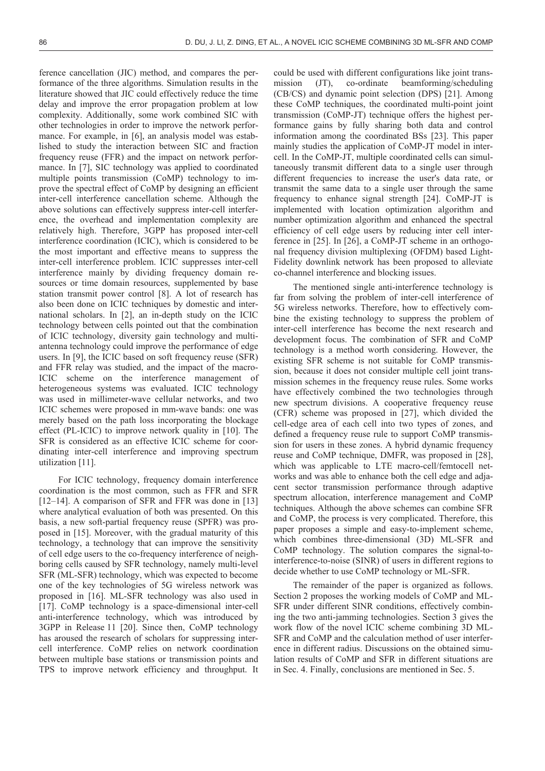ference cancellation (JIC) method, and compares the performance of the three algorithms. Simulation results in the literature showed that JIC could effectively reduce the time delay and improve the error propagation problem at low complexity. Additionally, some work combined SIC with other technologies in order to improve the network performance. For example, in [6], an analysis model was established to study the interaction between SIC and fraction frequency reuse (FFR) and the impact on network performance. In [7], SIC technology was applied to coordinated multiple points transmission (CoMP) technology to improve the spectral effect of CoMP by designing an efficient inter-cell interference cancellation scheme. Although the above solutions can effectively suppress inter-cell interference, the overhead and implementation complexity are relatively high. Therefore, 3GPP has proposed inter-cell interference coordination (ICIC), which is considered to be the most important and effective means to suppress the inter-cell interference problem. ICIC suppresses inter-cell interference mainly by dividing frequency domain resources or time domain resources, supplemented by base station transmit power control [8]. A lot of research has also been done on ICIC techniques by domestic and international scholars. In [2], an in-depth study on the ICIC technology between cells pointed out that the combination of ICIC technology, diversity gain technology and multiantenna technology could improve the performance of edge users. In [9], the ICIC based on soft frequency reuse (SFR) and FFR relay was studied, and the impact of the macro-ICIC scheme on the interference management of heterogeneous systems was evaluated. ICIC technology was used in millimeter-wave cellular networks, and two ICIC schemes were proposed in mm-wave bands: one was merely based on the path loss incorporating the blockage effect (PL-ICIC) to improve network quality in [10]. The SFR is considered as an effective ICIC scheme for coordinating inter-cell interference and improving spectrum utilization [11].

For ICIC technology, frequency domain interference coordination is the most common, such as FFR and SFR [12–14]. A comparison of SFR and FFR was done in [13] where analytical evaluation of both was presented. On this basis, a new soft-partial frequency reuse (SPFR) was proposed in [15]. Moreover, with the gradual maturity of this technology, a technology that can improve the sensitivity of cell edge users to the co-frequency interference of neighboring cells caused by SFR technology, namely multi-level SFR (ML-SFR) technology, which was expected to become one of the key technologies of 5G wireless network was proposed in [16]. ML-SFR technology was also used in [17]. CoMP technology is a space-dimensional inter-cell anti-interference technology, which was introduced by 3GPP in Release 11 [20]. Since then, CoMP technology has aroused the research of scholars for suppressing intercell interference. CoMP relies on network coordination between multiple base stations or transmission points and TPS to improve network efficiency and throughput. It

could be used with different configurations like joint transmission (JT), co-ordinate beamforming/scheduling (CB/CS) and dynamic point selection (DPS) [21]. Among these CoMP techniques, the coordinated multi-point joint transmission (CoMP-JT) technique offers the highest performance gains by fully sharing both data and control information among the coordinated BSs [23]. This paper mainly studies the application of CoMP-JT model in intercell. In the CoMP-JT, multiple coordinated cells can simultaneously transmit different data to a single user through different frequencies to increase the user's data rate, or transmit the same data to a single user through the same frequency to enhance signal strength [24]. CoMP-JT is implemented with location optimization algorithm and number optimization algorithm and enhanced the spectral efficiency of cell edge users by reducing inter cell interference in [25]. In [26], a CoMP-JT scheme in an orthogonal frequency division multiplexing (OFDM) based Light-Fidelity downlink network has been proposed to alleviate co-channel interference and blocking issues.

The mentioned single anti-interference technology is far from solving the problem of inter-cell interference of 5G wireless networks. Therefore, how to effectively combine the existing technology to suppress the problem of inter-cell interference has become the next research and development focus. The combination of SFR and CoMP technology is a method worth considering. However, the existing SFR scheme is not suitable for CoMP transmission, because it does not consider multiple cell joint transmission schemes in the frequency reuse rules. Some works have effectively combined the two technologies through new spectrum divisions. A cooperative frequency reuse (CFR) scheme was proposed in [27], which divided the cell-edge area of each cell into two types of zones, and defined a frequency reuse rule to support CoMP transmission for users in these zones. A hybrid dynamic frequency reuse and CoMP technique, DMFR, was proposed in [28], which was applicable to LTE macro-cell/femtocell networks and was able to enhance both the cell edge and adjacent sector transmission performance through adaptive spectrum allocation, interference management and CoMP techniques. Although the above schemes can combine SFR and CoMP, the process is very complicated. Therefore, this paper proposes a simple and easy-to-implement scheme, which combines three-dimensional (3D) ML-SFR and CoMP technology. The solution compares the signal-tointerference-to-noise (SINR) of users in different regions to decide whether to use CoMP technology or ML-SFR.

The remainder of the paper is organized as follows. Section 2 proposes the working models of CoMP and ML-SFR under different SINR conditions, effectively combining the two anti-jamming technologies. Section 3 gives the work flow of the novel ICIC scheme combining 3D ML-SFR and CoMP and the calculation method of user interference in different radius. Discussions on the obtained simulation results of CoMP and SFR in different situations are in Sec. 4. Finally, conclusions are mentioned in Sec. 5.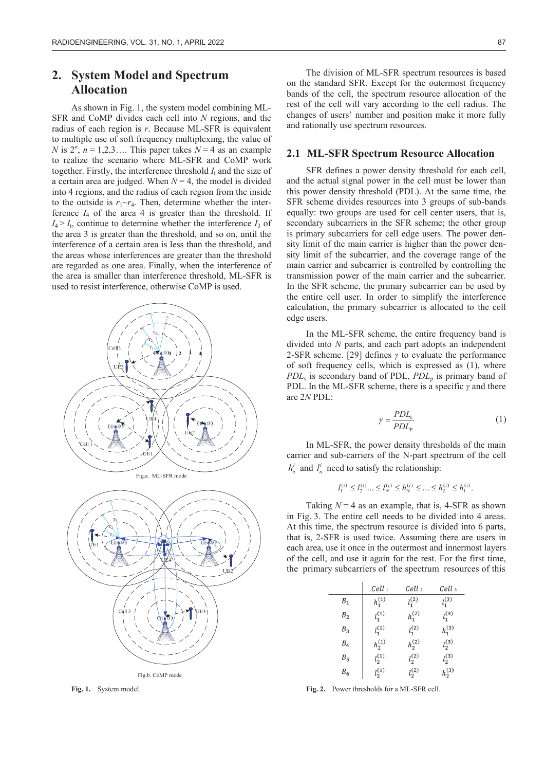# **2. System Model and Spectrum Allocation**

As shown in Fig. 1, the system model combining ML-SFR and CoMP divides each cell into *N* regions, and the radius of each region is *r*. Because ML-SFR is equivalent to multiple use of soft frequency multiplexing, the value of *N* is  $2^n$ ,  $n = 1,2,3...$  This paper takes  $N = 4$  as an example to realize the scenario where ML-SFR and CoMP work together. Firstly, the interference threshold  $I_t$  and the size of a certain area are judged. When  $N = 4$ , the model is divided into 4 regions, and the radius of each region from the inside to the outside is  $r_1 \sim r_4$ . Then, determine whether the interference  $I_4$  of the area 4 is greater than the threshold. If  $I_4 > I_1$ , continue to determine whether the interference  $I_3$  of the area 3 is greater than the threshold, and so on, until the interference of a certain area is less than the threshold, and the areas whose interferences are greater than the threshold are regarded as one area. Finally, when the interference of the area is smaller than interference threshold, ML-SFR is used to resist interference, otherwise CoMP is used.





**Fig. 1.** System model.

The division of ML-SFR spectrum resources is based on the standard SFR. Except for the outermost frequency bands of the cell, the spectrum resource allocation of the rest of the cell will vary according to the cell radius. The changes of users' number and position make it more fully and rationally use spectrum resources.

#### **2.1 ML-SFR Spectrum Resource Allocation**

SFR defines a power density threshold for each cell, and the actual signal power in the cell must be lower than this power density threshold (PDL). At the same time, the SFR scheme divides resources into 3 groups of sub-bands equally: two groups are used for cell center users, that is, secondary subcarriers in the SFR scheme; the other group is primary subcarriers for cell edge users. The power density limit of the main carrier is higher than the power density limit of the subcarrier, and the coverage range of the main carrier and subcarrier is controlled by controlling the transmission power of the main carrier and the subcarrier. In the SFR scheme, the primary subcarrier can be used by the entire cell user. In order to simplify the interference calculation, the primary subcarrier is allocated to the cell edge users.

In the ML-SFR scheme, the entire frequency band is divided into *N* parts, and each part adopts an independent 2-SFR scheme. [29] defines  $\gamma$  to evaluate the performance of soft frequency cells, which is expressed as (1), where *PDL*<sub>s</sub> is secondary band of PDL, *PDL*<sub>p</sub> is primary band of PDL. In the ML-SFR scheme, there is a specific  $\gamma$  and there are 2*N* PDL:

$$
\gamma = \frac{PDL_{\rm s}}{PDL_{\rm p}}\tag{1}
$$

In ML-SFR, the power density thresholds of the main carrier and sub-carriers of the N-part spectrum of the cell  $h_n^i$  and  $l_n^i$  need to satisfy the relationship:

$$
l_1^{(i)} \leq l_2^{(i)} ... \leq l_N^{(i)} \leq h_N^{(i)} \leq ... \leq h_2^{(i)} \leq h_1^{(i)}.
$$

Taking  $N = 4$  as an example, that is, 4-SFR as shown in Fig. 3. The entire cell needs to be divided into 4 areas. At this time, the spectrum resource is divided into 6 parts, that is, 2-SFR is used twice. Assuming there are users in each area, use it once in the outermost and innermost layers of the cell, and use it again for the rest. For the first time, the primary subcarriers of the spectrum resources of this

|                | $Cell_1$    | Cell <sub>2</sub> | Cell 3      |
|----------------|-------------|-------------------|-------------|
| $B_1$          | $h_1^{(1)}$ | $l_1^{(2)}$       | $l_1^{(3)}$ |
| B <sub>2</sub> | $l_1^{(1)}$ | $h_1^{(2)}$       | $l_1^{(3)}$ |
| B <sub>3</sub> | $l_1^{(1)}$ | $l_1^{(2)}$       | $h_1^{(3)}$ |
| $B_4$          | $h_2^{(1)}$ | $h_2^{(2)}$       | $l_2^{(3)}$ |
| $B_5$          | $l_2^{(1)}$ | $l_2^{(2)}$       | $l_2^{(3)}$ |
| $B_6$          | $l_2^{(1)}$ | $l_2^{(2)}$       | $h_2^{(3)}$ |

**Fig. 2.** Power thresholds for a ML-SFR cell.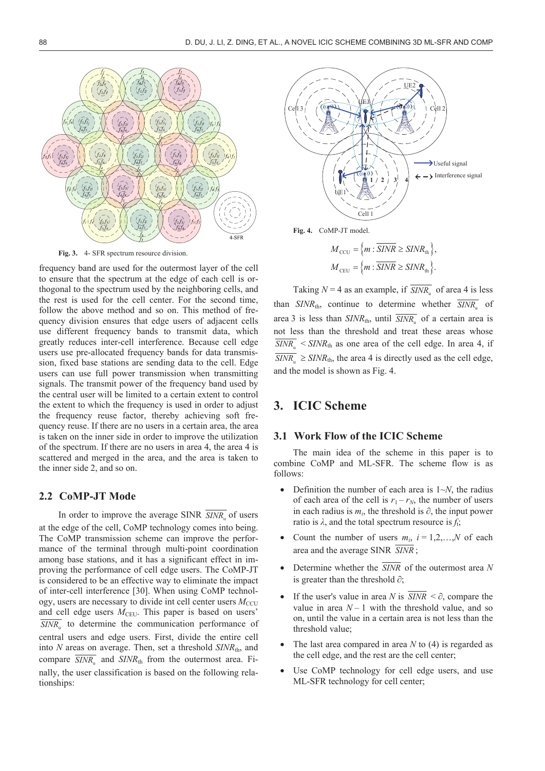

**Fig. 3.** 4- SFR spectrum resource division.

frequency band are used for the outermost layer of the cell to ensure that the spectrum at the edge of each cell is orthogonal to the spectrum used by the neighboring cells, and the rest is used for the cell center. For the second time, follow the above method and so on. This method of frequency division ensures that edge users of adjacent cells use different frequency bands to transmit data, which greatly reduces inter-cell interference. Because cell edge users use pre-allocated frequency bands for data transmission, fixed base stations are sending data to the cell. Edge users can use full power transmission when transmitting signals. The transmit power of the frequency band used by the central user will be limited to a certain extent to control the extent to which the frequency is used in order to adjust the frequency reuse factor, thereby achieving soft frequency reuse. If there are no users in a certain area, the area is taken on the inner side in order to improve the utilization of the spectrum. If there are no users in area 4, the area 4 is scattered and merged in the area, and the area is taken to the inner side 2, and so on.

#### **2.2 CoMP-JT Mode**

In order to improve the average SINR  $\overline{SINR}$  of users at the edge of the cell, CoMP technology comes into being. The CoMP transmission scheme can improve the performance of the terminal through multi-point coordination among base stations, and it has a significant effect in improving the performance of cell edge users. The CoMP-JT is considered to be an effective way to eliminate the impact of inter-cell interference [30]. When using CoMP technology, users are necessary to divide int cell center users  $M_{\text{CCU}}$ and cell edge users  $M<sub>CEU</sub>$ . This paper is based on users'  $\overline{SINR_{n}}$  to determine the communication performance of central users and edge users. First, divide the entire cell into *N* areas on average. Then, set a threshold *SINR*th, and compare  $\overline{SINR_n}$  and  $SINR_{th}$  from the outermost area. Finally, the user classification is based on the following relationships:



**Fig. 4.** CoMP-JT model.

$$
M_{\text{CCU}} = \{m : \overline{SINR} \geq SINR_{\text{th}}\},\,
$$
  

$$
M_{\text{CEU}} = \{m : \overline{SINR} \geq SINR_{\text{th}}\}.
$$

Taking  $N = 4$  as an example, if  $\overline{SINR_n}$  of area 4 is less than  $SINR_{th}$ , continue to determine whether  $\overline{SINR_{th}}$  of area 3 is less than  $SINR_{th}$ , until  $\overline{SINR_{th}}$  of a certain area is not less than the threshold and treat these areas whose  $\overline{SINR_{\scriptscriptstyle{n}}}$  <  $SINR_{\rm th}$  as one area of the cell edge. In area 4, if  $\overline{SINR_n} \geq \overline{SINR_{th}}$ , the area 4 is directly used as the cell edge, and the model is shown as Fig. 4.

# **3. ICIC Scheme**

#### **3.1 Work Flow of the ICIC Scheme**

The main idea of the scheme in this paper is to combine CoMP and ML-SFR. The scheme flow is as follows:

- Definition the number of each area is  $1~\sim N$ , the radius of each area of the cell is  $r_1 - r_N$ , the number of users in each radius is  $m_i$ , the threshold is  $\partial$ , the input power ratio is  $\lambda$ , and the total spectrum resource is  $f_t$ ;
- Count the number of users  $m_i$ ,  $i = 1, 2, \ldots, N$  of each area and the average SINR *SINR* ;
- Determine whether the  $\overline{SINR}$  of the outermost area N is greater than the threshold  $\partial$ ;
- If the user's value in area *N* is  $\overline{SINR} < \partial$ , compare the value in area  $N-1$  with the threshold value, and so on, until the value in a certain area is not less than the threshold value;
- The last area compared in area  $N$  to  $(4)$  is regarded as the cell edge, and the rest are the cell center;
- Use CoMP technology for cell edge users, and use ML-SFR technology for cell center;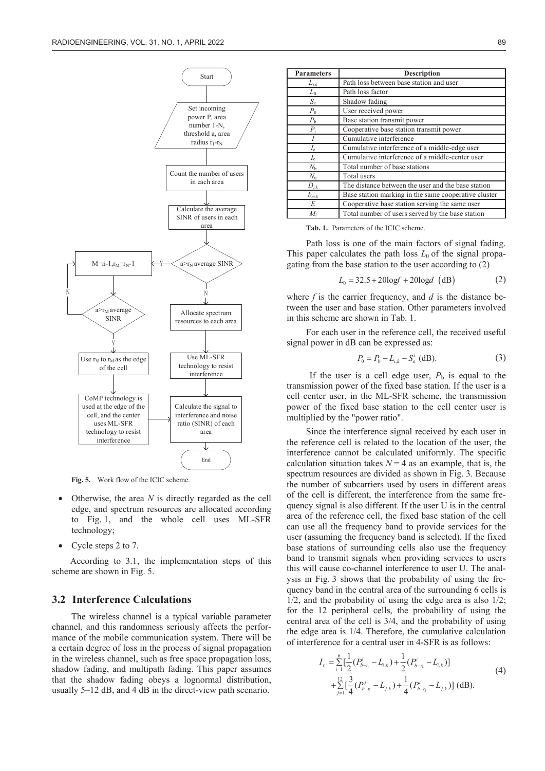

**Fig. 5.** Work flow of the ICIC scheme.

- Otherwise, the area *N* is directly regarded as the cell edge, and spectrum resources are allocated according to Fig. 1, and the whole cell uses ML-SFR technology;
- Cycle steps 2 to 7.

According to 3.1, the implementation steps of this scheme are shown in Fig. 5.

#### **3.2 Interference Calculations**

The wireless channel is a typical variable parameter channel, and this randomness seriously affects the performance of the mobile communication system. There will be a certain degree of loss in the process of signal propagation in the wireless channel, such as free space propagation loss, shadow fading, and multipath fading. This paper assumes that the shadow fading obeys a lognormal distribution, usually 5–12 dB, and 4 dB in the direct-view path scenario.

| <b>Parameters</b> | <b>Description</b>                                   |  |  |
|-------------------|------------------------------------------------------|--|--|
| $L_{i,k}$         | Path loss between base station and user              |  |  |
| $L_0$             | Path loss factor                                     |  |  |
| $S_{\rm e}$       | Shadow fading                                        |  |  |
| $P_0$             | User received power                                  |  |  |
| $P_{\rm b}$       | Base station transmit power                          |  |  |
| $P_i$             | Cooperative base station transmit power              |  |  |
|                   | Cumulative interference                              |  |  |
| I <sub>e</sub>    | Cumulative interference of a middle-edge user        |  |  |
| $I_{\rm c}$       | Cumulative interference of a middle-center user      |  |  |
| $N_{\rm b}$       | Total number of base stations                        |  |  |
| $N_{\rm u}$       | Total users                                          |  |  |
| $D_{i,k}$         | The distance between the user and the base station   |  |  |
| $b_{m,k}$         | Base station marking in the same cooperative cluster |  |  |
| E                 | Cooperative base station serving the same user       |  |  |
| $M_i$             | Total number of users served by the base station     |  |  |

**Tab. 1.** Parameters of the ICIC scheme.

Path loss is one of the main factors of signal fading. This paper calculates the path loss  $L_0$  of the signal propagating from the base station to the user according to (2)

$$
L_0 = 32.5 + 20\log f + 20\log d \, (dB)
$$
 (2)

where *f* is the carrier frequency, and *d* is the distance between the user and base station. Other parameters involved in this scheme are shown in Tab. 1.

For each user in the reference cell, the received useful signal power in dB can be expressed as:

$$
P_0 = P_{\rm b} - L_{i,k} - S_{\rm e}^i \text{ (dB)}.
$$
 (3)

If the user is a cell edge user,  $P_b$  is equal to the transmission power of the fixed base station. If the user is a cell center user, in the ML-SFR scheme, the transmission power of the fixed base station to the cell center user is multiplied by the "power ratio".

Since the interference signal received by each user in the reference cell is related to the location of the user, the interference cannot be calculated uniformly. The specific calculation situation takes  $N = 4$  as an example, that is, the spectrum resources are divided as shown in Fig. 3. Because the number of subcarriers used by users in different areas of the cell is different, the interference from the same frequency signal is also different. If the user U is in the central area of the reference cell, the fixed base station of the cell can use all the frequency band to provide services for the user (assuming the frequency band is selected). If the fixed base stations of surrounding cells also use the frequency band to transmit signals when providing services to users this will cause co-channel interference to user U. The analysis in Fig. 3 shows that the probability of using the frequency band in the central area of the surrounding 6 cells is 1/2, and the probability of using the edge area is also 1/2; for the 12 peripheral cells, the probability of using the central area of the cell is 3/4, and the probability of using the edge area is 1/4. Therefore, the cumulative calculation of interference for a central user in 4-SFR is as follows:

$$
I_{r_i} = \sum_{i=1}^{6} \left[ \frac{1}{2} (P_{b-r_i}^i - L_{i,k}) + \frac{1}{2} (P_{b-r_i}^i - L_{i,k}) \right]
$$
  
+ 
$$
\sum_{j=1}^{12} \left[ \frac{3}{4} (P_{b-r_i}^j - L_{j,k}) + \frac{1}{4} (P_{b-r_i}^i - L_{j,k}) \right] (dB).
$$
 (4)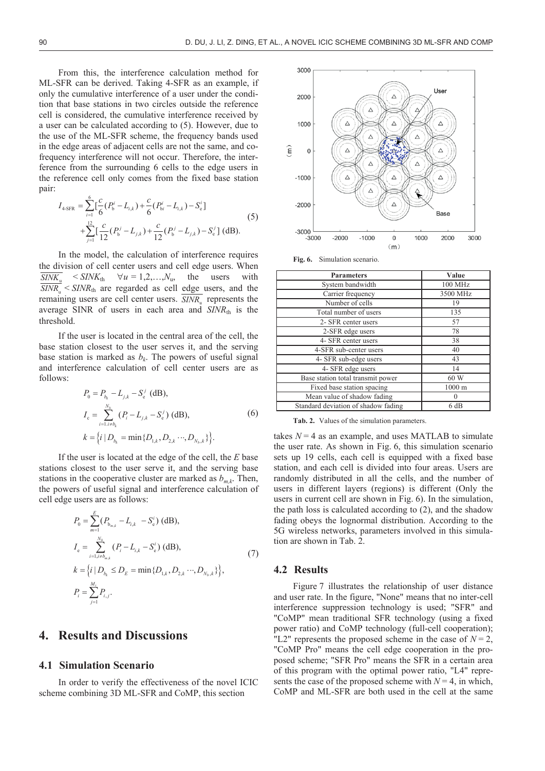From this, the interference calculation method for ML-SFR can be derived. Taking 4-SFR as an example, if only the cumulative interference of a user under the condition that base stations in two circles outside the reference cell is considered, the cumulative interference received by a user can be calculated according to (5). However, due to the use of the ML-SFR scheme, the frequency bands used in the edge areas of adjacent cells are not the same, and cofrequency interference will not occur. Therefore, the interference from the surrounding 6 cells to the edge users in the reference cell only comes from the fixed base station pair: 6

$$
I_{4\text{-SFR}} = \sum_{i=1}^{6} \left[ \frac{c}{6} (P_b^i - L_{i,k}) + \frac{c}{6} (P_{bi}^i - L_{i,k}) - S_e^i \right] + \sum_{j=1}^{12} \left[ \frac{c}{12} (P_b^j - L_{j,k}) + \frac{c}{12} (P_b^j - L_{j,k}) - S_e^j \right] \text{ (dB)}.
$$
 (5)

In the model, the calculation of interference requires the division of cell center users and cell edge users. When  $\overline{SINK_u}$  <  $SINK_{th}$   $\forall u = 1, 2, ..., N_u$ , the users with  $\overline{SINR_{\scriptscriptstyle{n}}}$  <  $SINR_{\scriptscriptstyle{\text{th}}}$  are regarded as cell edge users, and the remaining users are cell center users.  $\overline{SINR_{n}}$  represents the average SINR of users in each area and *SINR*<sup>th</sup> is the threshold.

If the user is located in the central area of the cell, the base station closest to the user serves it, and the serving base station is marked as  $b_k$ . The powers of useful signal and interference calculation of cell center users are as follows:

$$
P_0 = P_{b_k} - L_{j,k} - S_e^j \text{ (dB)},
$$
  
\n
$$
I_c = \sum_{i=1, i \neq b_k}^{N_b} (P_i - L_{j,k} - S_e^j) \text{ (dB)},
$$
  
\n
$$
k = \{i \mid D_{b_k} = \min \{D_{1,k}, D_{2,k} \cdots, D_{N_b,k}\} \}.
$$
  
\n(6)

If the user is located at the edge of the cell, the *E* base stations closest to the user serve it, and the serving base stations in the cooperative cluster are marked as  $b_{m,k}$ . Then, the powers of useful signal and interference calculation of cell edge users are as follows:

$$
P_0 = \sum_{m=1}^{E} (P_{b_{m,k}} - L_{i,k} - S_e^i) \text{ (dB)},
$$
  
\n
$$
I_e = \sum_{i=1, i \neq b_{m,k}}^{N_b} (P_i - L_{i,k} - S_e^i) \text{ (dB)},
$$
  
\n
$$
k = \{i | D_{b_k} \le D_E = \min \{D_{1,k}, D_{2,k} \cdots, D_{N_b,k}\},
$$
  
\n
$$
P_i = \sum_{j=1}^{M_i} P_{i,j}.
$$
\n(7)

# **4. Results and Discussions**

#### **4.1 Simulation Scenario**

In order to verify the effectiveness of the novel ICIC scheme combining 3D ML-SFR and CoMP, this section



**Fig. 6.** Simulation scenario.

| <b>Parameters</b>                   | Value            |
|-------------------------------------|------------------|
| System bandwidth                    | 100 MHz          |
| Carrier frequency                   | 3500 MHz         |
| Number of cells                     | 19               |
| Total number of users               | 135              |
| 2- SFR center users                 | 57               |
| 2-SFR edge users                    | 78               |
| 4- SFR center users                 | 38               |
| 4-SFR sub-center users              | 40               |
| 4- SFR sub-edge users               | 43               |
| 4- SFR edge users                   | 14               |
| Base station total transmit power   | 60 W             |
| Fixed base station spacing          | $1000 \text{ m}$ |
| Mean value of shadow fading         | $\theta$         |
| Standard deviation of shadow fading | 6 dB             |

**Tab. 2.** Values of the simulation parameters.

takes  $N = 4$  as an example, and uses MATLAB to simulate the user rate. As shown in Fig. 6, this simulation scenario sets up 19 cells, each cell is equipped with a fixed base station, and each cell is divided into four areas. Users are randomly distributed in all the cells, and the number of users in different layers (regions) is different (Only the users in current cell are shown in Fig. 6). In the simulation, the path loss is calculated according to (2), and the shadow fading obeys the lognormal distribution. According to the 5G wireless networks, parameters involved in this simulation are shown in Tab. 2.

#### **4.2 Results**

Figure 7 illustrates the relationship of user distance and user rate. In the figure, "None" means that no inter-cell interference suppression technology is used; "SFR" and "CoMP" mean traditional SFR technology (using a fixed power ratio) and CoMP technology (full-cell cooperation); "L2" represents the proposed scheme in the case of  $N = 2$ , "CoMP Pro" means the cell edge cooperation in the proposed scheme; "SFR Pro" means the SFR in a certain area of this program with the optimal power ratio, "L4" represents the case of the proposed scheme with  $N = 4$ , in which, CoMP and ML-SFR are both used in the cell at the same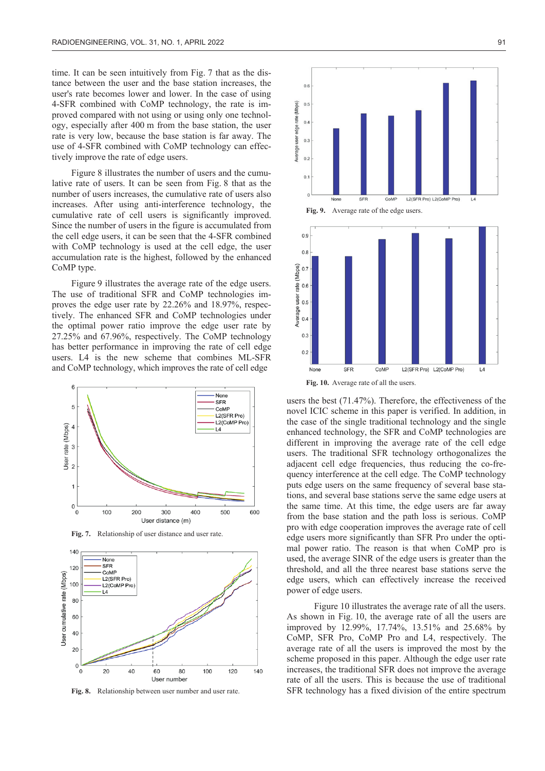time. It can be seen intuitively from Fig. 7 that as the distance between the user and the base station increases, the user's rate becomes lower and lower. In the case of using 4-SFR combined with CoMP technology, the rate is improved compared with not using or using only one technology, especially after 400 m from the base station, the user rate is very low, because the base station is far away. The use of 4-SFR combined with CoMP technology can effectively improve the rate of edge users.

Figure 8 illustrates the number of users and the cumulative rate of users. It can be seen from Fig. 8 that as the number of users increases, the cumulative rate of users also increases. After using anti-interference technology, the cumulative rate of cell users is significantly improved. Since the number of users in the figure is accumulated from the cell edge users, it can be seen that the 4-SFR combined with CoMP technology is used at the cell edge, the user accumulation rate is the highest, followed by the enhanced CoMP type.

Figure 9 illustrates the average rate of the edge users. The use of traditional SFR and CoMP technologies improves the edge user rate by 22.26% and 18.97%, respectively. The enhanced SFR and CoMP technologies under the optimal power ratio improve the edge user rate by 27.25% and 67.96%, respectively. The CoMP technology has better performance in improving the rate of cell edge users. L4 is the new scheme that combines ML-SFR and CoMP technology, which improves the rate of cell edge



**Fig. 7.** Relationship of user distance and user rate.



**Fig. 8.** Relationship between user number and user rate.



**Fig. 9.** Average rate of the edge users.



**Fig. 10.** Average rate of all the users.

users the best (71.47%). Therefore, the effectiveness of the novel ICIC scheme in this paper is verified. In addition, in the case of the single traditional technology and the single enhanced technology, the SFR and CoMP technologies are different in improving the average rate of the cell edge users. The traditional SFR technology orthogonalizes the adjacent cell edge frequencies, thus reducing the co-frequency interference at the cell edge. The CoMP technology puts edge users on the same frequency of several base stations, and several base stations serve the same edge users at the same time. At this time, the edge users are far away from the base station and the path loss is serious. CoMP pro with edge cooperation improves the average rate of cell edge users more significantly than SFR Pro under the optimal power ratio. The reason is that when CoMP pro is used, the average SINR of the edge users is greater than the threshold, and all the three nearest base stations serve the edge users, which can effectively increase the received power of edge users.

Figure 10 illustrates the average rate of all the users. As shown in Fig. 10, the average rate of all the users are improved by 12.99%, 17.74%, 13.51% and 25.68% by CoMP, SFR Pro, CoMP Pro and L4, respectively. The average rate of all the users is improved the most by the scheme proposed in this paper. Although the edge user rate increases, the traditional SFR does not improve the average rate of all the users. This is because the use of traditional SFR technology has a fixed division of the entire spectrum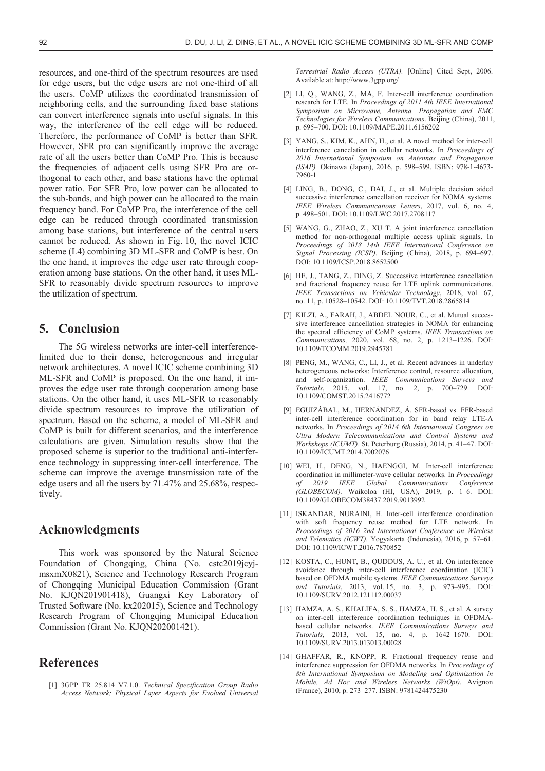resources, and one-third of the spectrum resources are used for edge users, but the edge users are not one-third of all the users. CoMP utilizes the coordinated transmission of neighboring cells, and the surrounding fixed base stations can convert interference signals into useful signals. In this way, the interference of the cell edge will be reduced. Therefore, the performance of CoMP is better than SFR. However, SFR pro can significantly improve the average rate of all the users better than CoMP Pro. This is because the frequencies of adjacent cells using SFR Pro are orthogonal to each other, and base stations have the optimal power ratio. For SFR Pro, low power can be allocated to the sub-bands, and high power can be allocated to the main frequency band. For CoMP Pro, the interference of the cell edge can be reduced through coordinated transmission among base stations, but interference of the central users cannot be reduced. As shown in Fig. 10, the novel ICIC scheme (L4) combining 3D ML-SFR and CoMP is best. On the one hand, it improves the edge user rate through cooperation among base stations. On the other hand, it uses ML-SFR to reasonably divide spectrum resources to improve the utilization of spectrum.

## **5. Conclusion**

The 5G wireless networks are inter-cell interferencelimited due to their dense, heterogeneous and irregular network architectures. A novel ICIC scheme combining 3D ML-SFR and CoMP is proposed. On the one hand, it improves the edge user rate through cooperation among base stations. On the other hand, it uses ML-SFR to reasonably divide spectrum resources to improve the utilization of spectrum. Based on the scheme, a model of ML-SFR and CoMP is built for different scenarios, and the interference calculations are given. Simulation results show that the proposed scheme is superior to the traditional anti-interference technology in suppressing inter-cell interference. The scheme can improve the average transmission rate of the edge users and all the users by 71.47% and 25.68%, respectively.

## **Acknowledgments**

This work was sponsored by the Natural Science Foundation of Chongqing, China (No. cstc2019jcyjmsxmX0821), Science and Technology Research Program of Chongqing Municipal Education Commission (Grant No. KJQN201901418), Guangxi Key Laboratory of Trusted Software (No. kx202015), Science and Technology Research Program of Chongqing Municipal Education Commission (Grant No. KJQN202001421).

# **References**

[1] 3GPP TR 25.814 V7.1.0. *Technical Specification Group Radio Access Network; Physical Layer Aspects for Evolved Universal* 

*Terrestrial Radio Access (UTRA).* [Online] Cited Sept, 2006. Available at: http://www.3gpp.org/

- [2] LI, Q., WANG, Z., MA, F. Inter-cell interference coordination research for LTE. In *Proceedings of 2011 4th IEEE International Symposium on Microwave, Antenna, Propagation and EMC Technologies for Wireless Communications*. Beijing (China), 2011, p. 695–700. DOI: 10.1109/MAPE.2011.6156202
- [3] YANG, S., KIM, K., AHN, H., et al. A novel method for inter-cell interference cancelation in cellular networks. In *Proceedings of 2016 International Symposium on Antennas and Propagation (ISAP).* Okinawa (Japan), 2016, p. 598–599. ISBN: 978-1-4673- 7960-1
- [4] LING, B., DONG, C., DAI, J., et al. Multiple decision aided successive interference cancellation receiver for NOMA systems. *IEEE Wireless Communications Letters*, 2017, vol. 6, no. 4, p. 498–501. DOI: 10.1109/LWC.2017.2708117
- [5] WANG, G., ZHAO, Z., XU T. A joint interference cancellation method for non-orthogonal multiple access uplink signals. In *Proceedings of 2018 14th IEEE International Conference on Signal Processing (ICSP)*. Beijing (China), 2018, p. 694–697. DOI: 10.1109/ICSP.2018.8652500
- [6] HE, J., TANG, Z., DING, Z. Successive interference cancellation and fractional frequency reuse for LTE uplink communications. *IEEE Transactions on Vehicular Technology*, 2018, vol. 67, no. 11, p. 10528–10542. DOI: 10.1109/TVT.2018.2865814
- [7] KILZI, A., FARAH, J., ABDEL NOUR, C., et al. Mutual successive interference cancellation strategies in NOMA for enhancing the spectral efficiency of CoMP systems. *IEEE Transactions on Communications,* 2020, vol. 68, no. 2, p. 1213–1226. DOI: 10.1109/TCOMM.2019.2945781
- [8] PENG, M., WANG, C., LI, J., et al. Recent advances in underlay heterogeneous networks: Interference control, resource allocation, and self-organization. *IEEE Communications Surveys and Tutorials*, 2015, vol. 17, no. 2, p. 700–729. DOI: 10.1109/COMST.2015.2416772
- [9] EGUIZÁBAL, M., HERNÁNDEZ, Á. SFR-based vs. FFR-based inter-cell interference coordination for in band relay LTE-A networks. In *Proceedings of* 2*014 6th International Congress on Ultra Modern Telecommunications and Control Systems and Workshops (ICUMT)*. St. Peterburg (Russia), 2014, p. 41–47. DOI: 10.1109/ICUMT.2014.7002076
- [10] WEI, H., DENG, N., HAENGGI, M. Inter-cell interference coordination in millimeter-wave cellular networks. In *Proceedings of 2019 IEEE Global Communications Conference (GLOBECOM).* Waikoloa (HI, USA), 2019, p. 1–6. DOI: 10.1109/GLOBECOM38437.2019.9013992
- [11] ISKANDAR, NURAINI, H. Inter-cell interference coordination with soft frequency reuse method for LTE network. In *Proceedings of 2016 2nd International Conference on Wireless and Telematics (ICWT).* Yogyakarta (Indonesia), 2016, p. 57–61. DOI: 10.1109/ICWT.2016.7870852
- [12] KOSTA, C., HUNT, B., QUDDUS, A. U., et al. On interference avoidance through inter-cell interference coordination (ICIC) based on OFDMA mobile systems. *IEEE Communications Surveys and Tutorials*, 2013, vol. 15, no. 3, p. 973–995. DOI: 10.1109/SURV.2012.121112.00037
- [13] HAMZA, A. S., KHALIFA, S. S., HAMZA, H. S., et al. A survey on inter-cell interference coordination techniques in OFDMAbased cellular networks. *IEEE Communications Surveys and Tutorials*, 2013, vol. 15, no. 4, p. 1642–1670. DOI: 10.1109/SURV.2013.013013.00028
- [14] GHAFFAR, R., KNOPP, R. Fractional frequency reuse and interference suppression for OFDMA networks. In *Proceedings of 8th International Symposium on Modeling and Optimization in Mobile, Ad Hoc and Wireless Networks (WiOpt)*. Avignon (France), 2010, p. 273–277. ISBN: 9781424475230